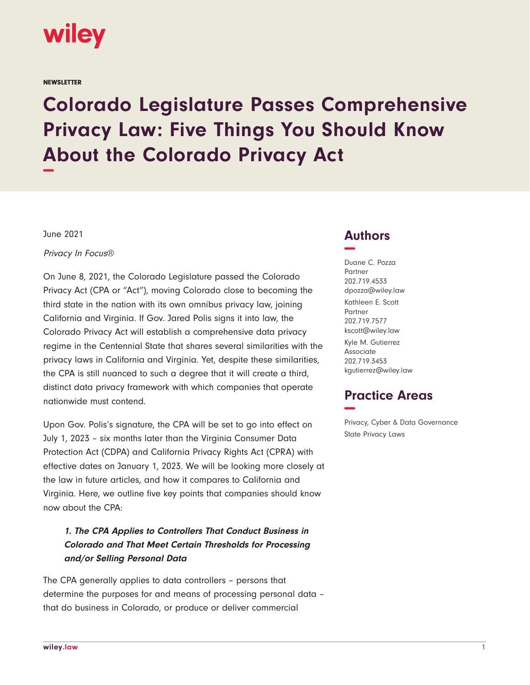

**NEWSLETTER** 

# **Colorado Legislature Passes Comprehensive Privacy Law: Five Things You Should Know About the Colorado Privacy Act −**

June 2021

Privacy In Focus®

On June 8, 2021, the Colorado Legislature passed the Colorado Privacy Act (CPA or "Act"), moving Colorado close to becoming the third state in the nation with its own omnibus privacy law, joining California and Virginia. If Gov. Jared Polis signs it into law, the Colorado Privacy Act will establish a comprehensive data privacy regime in the Centennial State that shares several similarities with the privacy laws in California and Virginia. Yet, despite these similarities, the CPA is still nuanced to such a degree that it will create a third, distinct data privacy framework with which companies that operate nationwide must contend.

Upon Gov. Polis's signature, the CPA will be set to go into effect on July 1, 2023 – six months later than the Virginia Consumer Data Protection Act (CDPA) and California Privacy Rights Act (CPRA) with effective dates on January 1, 2023. We will be looking more closely at the law in future articles, and how it compares to California and Virginia. Here, we outline five key points that companies should know now about the CPA:

## **1. The CPA Applies to Controllers That Conduct Business in Colorado and That Meet Certain Thresholds for Processing and/or Selling Personal Data**

The CPA generally applies to data controllers – persons that determine the purposes for and means of processing personal data – that do business in Colorado, or produce or deliver commercial

## **Authors −**

Duane C. Pozza Partner 202.719.4533 dpozza@wiley.law Kathleen E. Scott Partner 202.719.7577 kscott@wiley.law Kyle M. Gutierrez Associate

202.719.3453 kgutierrez@wiley.law

## **Practice Areas −**

Privacy, Cyber & Data Governance State Privacy Laws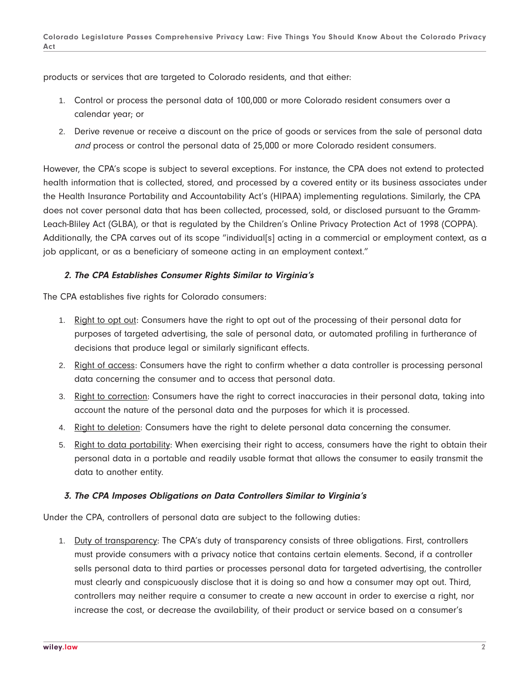products or services that are targeted to Colorado residents, and that either:

- 1. Control or process the personal data of 100,000 or more Colorado resident consumers over a calendar year; or
- 2. Derive revenue or receive a discount on the price of goods or services from the sale of personal data and process or control the personal data of 25,000 or more Colorado resident consumers.

However, the CPA's scope is subject to several exceptions. For instance, the CPA does not extend to protected health information that is collected, stored, and processed by a covered entity or its business associates under the Health Insurance Portability and Accountability Act's (HIPAA) implementing regulations. Similarly, the CPA does not cover personal data that has been collected, processed, sold, or disclosed pursuant to the Gramm-Leach-Bliley Act (GLBA), or that is regulated by the Children's Online Privacy Protection Act of 1998 (COPPA). Additionally, the CPA carves out of its scope "individual[s] acting in a commercial or employment context, as a job applicant, or as a beneficiary of someone acting in an employment context."

### **2. The CPA Establishes Consumer Rights Similar to Virginia's**

The CPA establishes five rights for Colorado consumers:

- 1. Right to opt out: Consumers have the right to opt out of the processing of their personal data for purposes of targeted advertising, the sale of personal data, or automated profiling in furtherance of decisions that produce legal or similarly significant effects.
- 2. Right of access: Consumers have the right to confirm whether a data controller is processing personal data concerning the consumer and to access that personal data.
- 3. Right to correction: Consumers have the right to correct inaccuracies in their personal data, taking into account the nature of the personal data and the purposes for which it is processed.
- 4. Right to deletion: Consumers have the right to delete personal data concerning the consumer.
- 5. Right to data portability: When exercising their right to access, consumers have the right to obtain their personal data in a portable and readily usable format that allows the consumer to easily transmit the data to another entity.

#### **3. The CPA Imposes Obligations on Data Controllers Similar to Virginia's**

Under the CPA, controllers of personal data are subject to the following duties:

1. Duty of transparency: The CPA's duty of transparency consists of three obligations. First, controllers must provide consumers with a privacy notice that contains certain elements. Second, if a controller sells personal data to third parties or processes personal data for targeted advertising, the controller must clearly and conspicuously disclose that it is doing so and how a consumer may opt out. Third, controllers may neither require a consumer to create a new account in order to exercise a right, nor increase the cost, or decrease the availability, of their product or service based on a consumer's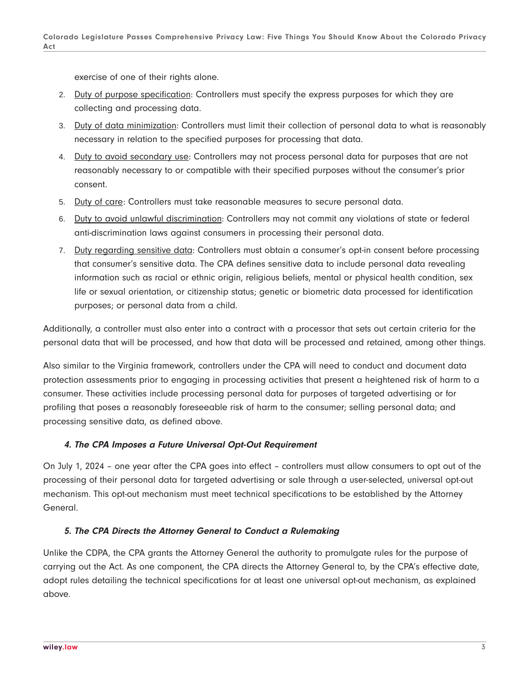exercise of one of their rights alone.

- 2. Duty of purpose specification: Controllers must specify the express purposes for which they are collecting and processing data.
- 3. Duty of data minimization: Controllers must limit their collection of personal data to what is reasonably necessary in relation to the specified purposes for processing that data.
- 4. Duty to avoid secondary use: Controllers may not process personal data for purposes that are not reasonably necessary to or compatible with their specified purposes without the consumer's prior consent.
- 5. Duty of care: Controllers must take reasonable measures to secure personal data.
- 6. Duty to avoid unlawful discrimination: Controllers may not commit any violations of state or federal anti-discrimination laws against consumers in processing their personal data.
- 7. Duty regarding sensitive data: Controllers must obtain a consumer's opt-in consent before processing that consumer's sensitive data. The CPA defines sensitive data to include personal data revealing information such as racial or ethnic origin, religious beliefs, mental or physical health condition, sex life or sexual orientation, or citizenship status; genetic or biometric data processed for identification purposes; or personal data from a child.

Additionally, a controller must also enter into a contract with a processor that sets out certain criteria for the personal data that will be processed, and how that data will be processed and retained, among other things.

Also similar to the Virginia framework, controllers under the CPA will need to conduct and document data protection assessments prior to engaging in processing activities that present a heightened risk of harm to a consumer. These activities include processing personal data for purposes of targeted advertising or for profiling that poses a reasonably foreseeable risk of harm to the consumer; selling personal data; and processing sensitive data, as defined above.

### **4. The CPA Imposes a Future Universal Opt-Out Requirement**

On July 1, 2024 – one year after the CPA goes into effect – controllers must allow consumers to opt out of the processing of their personal data for targeted advertising or sale through a user-selected, universal opt-out mechanism. This opt-out mechanism must meet technical specifications to be established by the Attorney General.

### **5. The CPA Directs the Attorney General to Conduct a Rulemaking**

Unlike the CDPA, the CPA grants the Attorney General the authority to promulgate rules for the purpose of carrying out the Act. As one component, the CPA directs the Attorney General to, by the CPA's effective date, adopt rules detailing the technical specifications for at least one universal opt-out mechanism, as explained above.